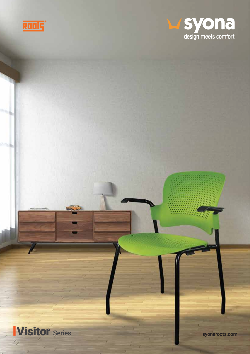



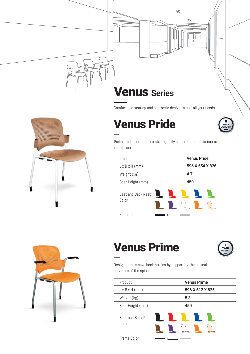



#### Comfortable seating and aesthetic design to suit all your needs.

### Venus Pride



Perforated holes that are strategically placed to facilitate improved ventilation.

| Product                    | <b>Venus Pride</b> |
|----------------------------|--------------------|
| $L \times B \times H$ (mm) | 596 X 554 X 826    |
| Weight (kg)                | 4.7                |
| Seat Height (mm)           | 450                |
| Seat and Back Rest         |                    |

Frame Color

Color





## Venus Prime



Designed to remove back strains by supporting the natural curvature of the spine.

| Product                    | <b>Venus Prime</b> |
|----------------------------|--------------------|
| $L \times B \times H$ (mm) | 596 X 612 X 825    |
| Weight (kg)                | 5.3                |
| Seat Height (mm)           | 450                |
|                            |                    |

Seat and Back Rest Color



Frame Color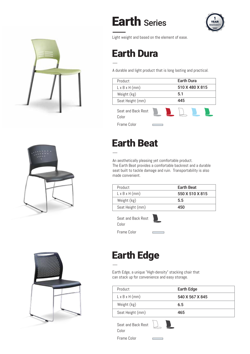



Light weight and based on the element of ease.

# Earth Dura

A durable and light product that is long lasting and practical.

| Product                     | <b>Earth Dura</b> |                 |     |  |
|-----------------------------|-------------------|-----------------|-----|--|
| $L \times B \times H$ (mm)  |                   | 510 X 480 X 815 |     |  |
| Weight (kg)                 |                   |                 | 5.1 |  |
| Seat Height (mm)            |                   |                 | 445 |  |
| Seat and Back Rest<br>Color |                   |                 |     |  |
| Frame Color                 |                   |                 |     |  |

# Earth Beat

An aesthetically pleasing yet comfortable product. The Earth Beat provides a comfortable backrest and a durable seat built to tackle damage and ruin. Transportability is also made convenient.

| Product                    | <b>Earth Beat</b> |
|----------------------------|-------------------|
| $L \times B \times H$ (mm) | 550 X 510 X 815   |
| Weight (kg)                | 5.5               |
| Seat Height (mm)           | 450               |

Seat and Back Rest Color

Frame Color



## Earth Edge

Earth Edge, a unique "High-density" stacking chair that can stack up for convenience and easy storage.

| Product                    | <b>Earth Edge</b> |
|----------------------------|-------------------|
| $L \times B \times H$ (mm) | 540 X 567 X 845   |
| Weight (kg)                | 6.5               |
| Seat Height (mm)           | 465               |

Seat and Back Rest Color



Frame Color